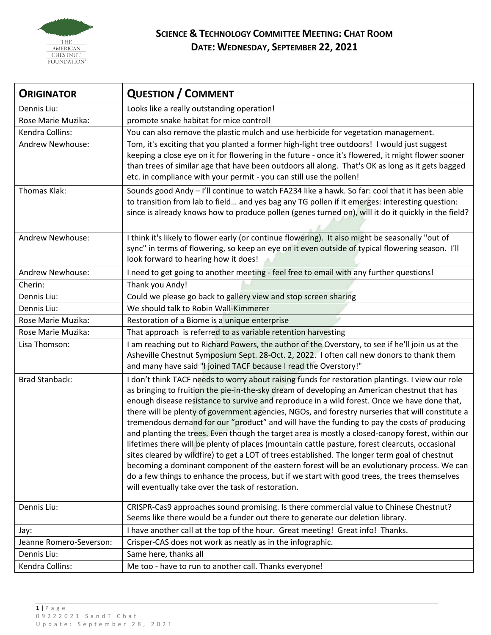

## **SCIENCE & TECHNOLOGY COMMITTEE MEETING: CHAT ROOM DATE: WEDNESDAY, SEPTEMBER 22, 2021**

| <b>ORIGINATOR</b>       | <b>QUESTION / COMMENT</b>                                                                                                                                                                                                                                                                                                                                                                                                                                                                                                                                                                                                                                                                                                                                                                                                                                                                                                                                                                                                                                          |
|-------------------------|--------------------------------------------------------------------------------------------------------------------------------------------------------------------------------------------------------------------------------------------------------------------------------------------------------------------------------------------------------------------------------------------------------------------------------------------------------------------------------------------------------------------------------------------------------------------------------------------------------------------------------------------------------------------------------------------------------------------------------------------------------------------------------------------------------------------------------------------------------------------------------------------------------------------------------------------------------------------------------------------------------------------------------------------------------------------|
| Dennis Liu:             | Looks like a really outstanding operation!                                                                                                                                                                                                                                                                                                                                                                                                                                                                                                                                                                                                                                                                                                                                                                                                                                                                                                                                                                                                                         |
| Rose Marie Muzika:      | promote snake habitat for mice control!                                                                                                                                                                                                                                                                                                                                                                                                                                                                                                                                                                                                                                                                                                                                                                                                                                                                                                                                                                                                                            |
| Kendra Collins:         | You can also remove the plastic mulch and use herbicide for vegetation management.                                                                                                                                                                                                                                                                                                                                                                                                                                                                                                                                                                                                                                                                                                                                                                                                                                                                                                                                                                                 |
| Andrew Newhouse:        | Tom, it's exciting that you planted a former high-light tree outdoors! I would just suggest<br>keeping a close eye on it for flowering in the future - once it's flowered, it might flower sooner<br>than trees of similar age that have been outdoors all along. That's OK as long as it gets bagged<br>etc. in compliance with your permit - you can still use the pollen!                                                                                                                                                                                                                                                                                                                                                                                                                                                                                                                                                                                                                                                                                       |
| Thomas Klak:            | Sounds good Andy - I'll continue to watch FA234 like a hawk. So far: cool that it has been able<br>to transition from lab to field and yes bag any TG pollen if it emerges: interesting question:<br>since is already knows how to produce pollen (genes turned on), will it do it quickly in the field?                                                                                                                                                                                                                                                                                                                                                                                                                                                                                                                                                                                                                                                                                                                                                           |
| Andrew Newhouse:        | I think it's likely to flower early (or continue flowering). It also might be seasonally "out of<br>sync" in terms of flowering, so keep an eye on it even outside of typical flowering season. I'll<br>look forward to hearing how it does!                                                                                                                                                                                                                                                                                                                                                                                                                                                                                                                                                                                                                                                                                                                                                                                                                       |
| Andrew Newhouse:        | I need to get going to another meeting - feel free to email with any further questions!                                                                                                                                                                                                                                                                                                                                                                                                                                                                                                                                                                                                                                                                                                                                                                                                                                                                                                                                                                            |
| Cherin:                 | Thank you Andy!                                                                                                                                                                                                                                                                                                                                                                                                                                                                                                                                                                                                                                                                                                                                                                                                                                                                                                                                                                                                                                                    |
| Dennis Liu:             | Could we please go back to gallery view and stop screen sharing                                                                                                                                                                                                                                                                                                                                                                                                                                                                                                                                                                                                                                                                                                                                                                                                                                                                                                                                                                                                    |
| Dennis Liu:             | We should talk to Robin Wall-Kimmerer                                                                                                                                                                                                                                                                                                                                                                                                                                                                                                                                                                                                                                                                                                                                                                                                                                                                                                                                                                                                                              |
| Rose Marie Muzika:      | Restoration of a Biome is a unique enterprise                                                                                                                                                                                                                                                                                                                                                                                                                                                                                                                                                                                                                                                                                                                                                                                                                                                                                                                                                                                                                      |
| Rose Marie Muzika:      | That approach is referred to as variable retention harvesting                                                                                                                                                                                                                                                                                                                                                                                                                                                                                                                                                                                                                                                                                                                                                                                                                                                                                                                                                                                                      |
| Lisa Thomson:           | I am reaching out to Richard Powers, the author of the Overstory, to see if he'll join us at the<br>Asheville Chestnut Symposium Sept. 28-Oct. 2, 2022. I often call new donors to thank them<br>and many have said "I joined TACF because I read the Overstory!"                                                                                                                                                                                                                                                                                                                                                                                                                                                                                                                                                                                                                                                                                                                                                                                                  |
| <b>Brad Stanback:</b>   | I don't think TACF needs to worry about raising funds for restoration plantings. I view our role<br>as bringing to fruition the pie-in-the-sky dream of developing an American chestnut that has<br>enough disease resistance to survive and reproduce in a wild forest. Once we have done that,<br>there will be plenty of government agencies, NGOs, and forestry nurseries that will constitute a<br>tremendous demand for our "product" and will have the funding to pay the costs of producing<br>and planting the trees. Even though the target area is mostly a closed-canopy forest, within our<br>lifetimes there will be plenty of places (mountain cattle pasture, forest clearcuts, occasional<br>sites cleared by wildfire) to get a LOT of trees established. The longer term goal of chestnut<br>becoming a dominant component of the eastern forest will be an evolutionary process. We can<br>do a few things to enhance the process, but if we start with good trees, the trees themselves<br>will eventually take over the task of restoration. |
| Dennis Liu:             | CRISPR-Cas9 approaches sound promising. Is there commercial value to Chinese Chestnut?<br>Seems like there would be a funder out there to generate our deletion library.                                                                                                                                                                                                                                                                                                                                                                                                                                                                                                                                                                                                                                                                                                                                                                                                                                                                                           |
| Jay:                    | I have another call at the top of the hour. Great meeting! Great info! Thanks.                                                                                                                                                                                                                                                                                                                                                                                                                                                                                                                                                                                                                                                                                                                                                                                                                                                                                                                                                                                     |
| Jeanne Romero-Severson: | Crisper-CAS does not work as neatly as in the infographic.                                                                                                                                                                                                                                                                                                                                                                                                                                                                                                                                                                                                                                                                                                                                                                                                                                                                                                                                                                                                         |
| Dennis Liu:             | Same here, thanks all                                                                                                                                                                                                                                                                                                                                                                                                                                                                                                                                                                                                                                                                                                                                                                                                                                                                                                                                                                                                                                              |
| Kendra Collins:         | Me too - have to run to another call. Thanks everyone!                                                                                                                                                                                                                                                                                                                                                                                                                                                                                                                                                                                                                                                                                                                                                                                                                                                                                                                                                                                                             |